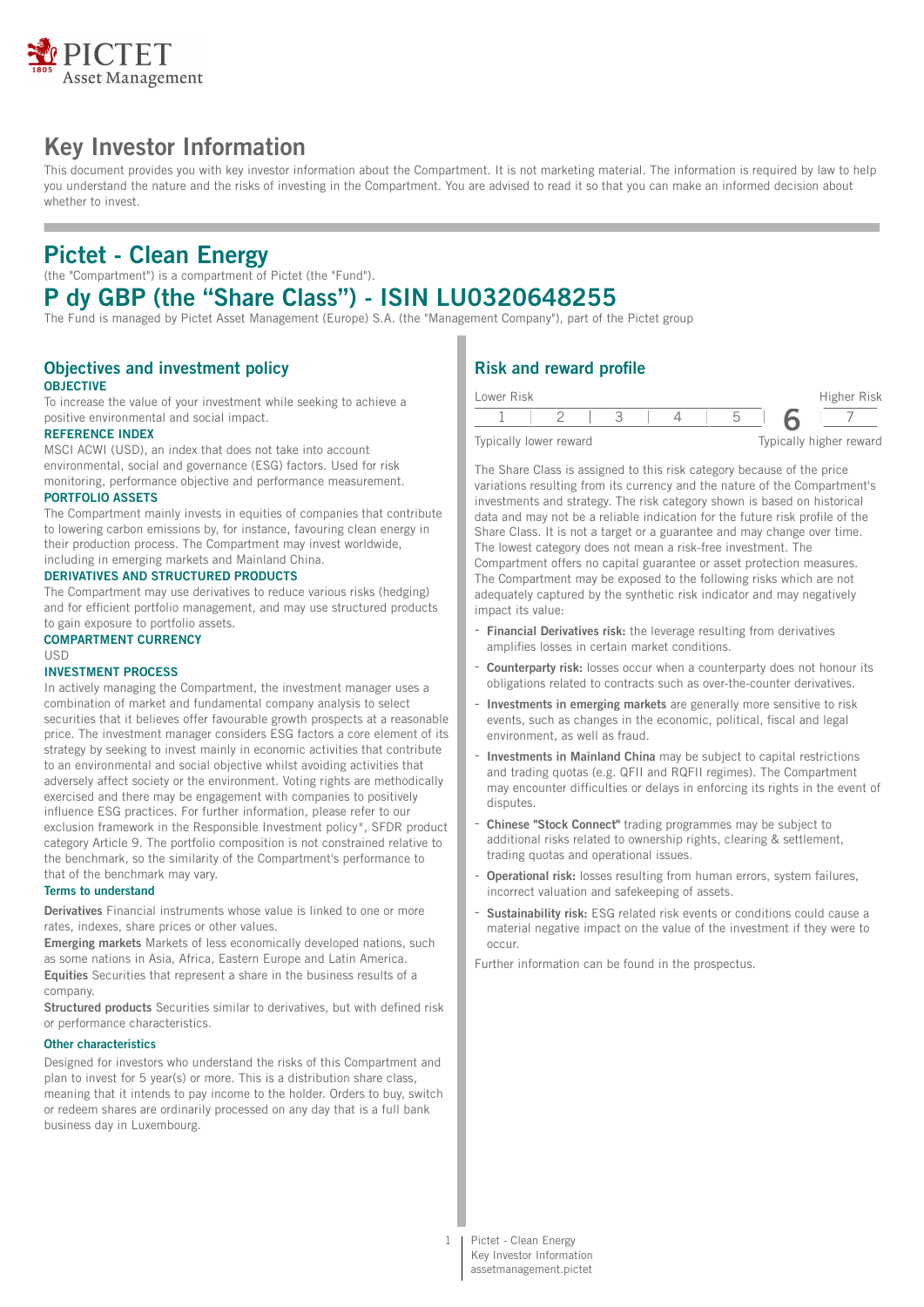

# **Key Investor Information**

This document provides you with key investor information about the Compartment. It is not marketing material. The information is required by law to help you understand the nature and the risks of investing in the Compartment. You are advised to read it so that you can make an informed decision about whether to invest.

# **Pictet - Clean Energy**

(the "Compartment") is a compartment of Pictet (the "Fund").

# **P dy GBP (the "Share Class") - ISIN LU0320648255**

The Fund is managed by Pictet Asset Management (Europe) S.A. (the "Management Company"), part of the Pictet group

## **Objectives and investment policy OBJECTIVE**

To increase the value of your investment while seeking to achieve a positive environmental and social impact.

## **REFERENCE INDEX**

MSCI ACWI (USD), an index that does not take into account environmental, social and governance (ESG) factors. Used for risk monitoring, performance objective and performance measurement.

#### **PORTFOLIO ASSETS**

The Compartment mainly invests in equities of companies that contribute to lowering carbon emissions by, for instance, favouring clean energy in their production process. The Compartment may invest worldwide, including in emerging markets and Mainland China.

### **DERIVATIVES AND STRUCTURED PRODUCTS**

The Compartment may use derivatives to reduce various risks (hedging) and for efficient portfolio management, and may use structured products to gain exposure to portfolio assets.

#### **COMPARTMENT CURRENCY** USD

### **INVESTMENT PROCESS**

In actively managing the Compartment, the investment manager uses a combination of market and fundamental company analysis to select securities that it believes offer favourable growth prospects at a reasonable price. The investment manager considers ESG factors a core element of its strategy by seeking to invest mainly in economic activities that contribute to an environmental and social objective whilst avoiding activities that adversely affect society or the environment. Voting rights are methodically exercised and there may be engagement with companies to positively influence ESG practices. For further information, please refer to our exclusion framework in the Responsible Investment policy\*, SFDR product category Article 9. The portfolio composition is not constrained relative to the benchmark, so the similarity of the Compartment's performance to that of the benchmark may vary.

### **Terms to understand**

**Derivatives** Financial instruments whose value is linked to one or more rates, indexes, share prices or other values.

**Emerging markets** Markets of less economically developed nations, such as some nations in Asia, Africa, Eastern Europe and Latin America. **Equities** Securities that represent a share in the business results of a company.

**Structured products** Securities similar to derivatives, but with defined risk or performance characteristics.

#### **Other characteristics**

Designed for investors who understand the risks of this Compartment and plan to invest for 5 year(s) or more. This is a distribution share class, meaning that it intends to pay income to the holder. Orders to buy, switch or redeem shares are ordinarily processed on any day that is a full bank business day in Luxembourg.

# **Risk and reward profile**

| Lower Risk |                        |  |  | Higher Risk             |
|------------|------------------------|--|--|-------------------------|
|            |                        |  |  |                         |
|            | Typically lower reward |  |  | Typically higher reward |

The Share Class is assigned to this risk category because of the price variations resulting from its currency and the nature of the Compartment's investments and strategy. The risk category shown is based on historical data and may not be a reliable indication for the future risk profile of the Share Class. It is not a target or a guarantee and may change over time. The lowest category does not mean a risk-free investment. The

Compartment offers no capital guarantee or asset protection measures. The Compartment may be exposed to the following risks which are not adequately captured by the synthetic risk indicator and may negatively impact its value:

- **Financial Derivatives risk:** the leverage resulting from derivatives amplifies losses in certain market conditions.
- Counterparty risk: losses occur when a counterparty does not honour its obligations related to contracts such as over-the-counter derivatives.
- **Investments in emerging markets** are generally more sensitive to risk events, such as changes in the economic, political, fiscal and legal environment, as well as fraud.
- **Investments in Mainland China** may be subject to capital restrictions and trading quotas (e.g. QFII and RQFII regimes). The Compartment may encounter difficulties or delays in enforcing its rights in the event of disputes.
- **Chinese "Stock Connect"** trading programmes may be subject to additional risks related to ownership rights, clearing & settlement, trading quotas and operational issues.
- **Operational risk:** losses resulting from human errors, system failures, incorrect valuation and safekeeping of assets.
- **Sustainability risk:** ESG related risk events or conditions could cause a material negative impact on the value of the investment if they were to occur.

Further information can be found in the prospectus.